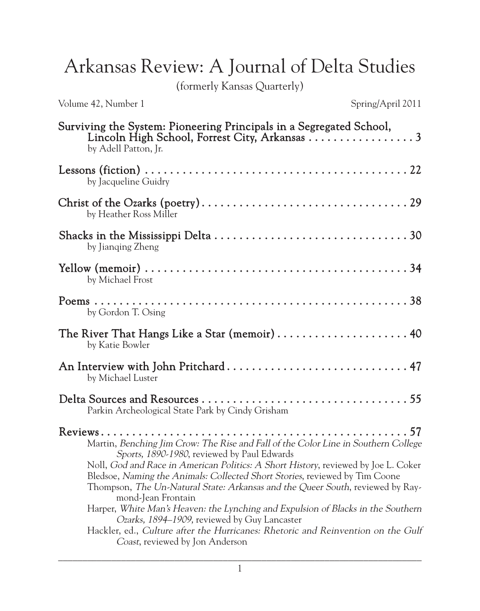Arkansas Review: A Journal of Delta Studies

(formerly Kansas Quarterly)

Volume 42, Number 1 Spring/April 2011

| Surviving the System: Pioneering Principals in a Segregated School,<br>by Adell Patton, Jr.                                                                                                                                                                                                                                                                                                                                                                                                                                                                                                                                                                                       |
|-----------------------------------------------------------------------------------------------------------------------------------------------------------------------------------------------------------------------------------------------------------------------------------------------------------------------------------------------------------------------------------------------------------------------------------------------------------------------------------------------------------------------------------------------------------------------------------------------------------------------------------------------------------------------------------|
| by Jacqueline Guidry                                                                                                                                                                                                                                                                                                                                                                                                                                                                                                                                                                                                                                                              |
| by Heather Ross Miller                                                                                                                                                                                                                                                                                                                                                                                                                                                                                                                                                                                                                                                            |
| by Jianqing Zheng                                                                                                                                                                                                                                                                                                                                                                                                                                                                                                                                                                                                                                                                 |
| by Michael Frost                                                                                                                                                                                                                                                                                                                                                                                                                                                                                                                                                                                                                                                                  |
| by Gordon T. Osing                                                                                                                                                                                                                                                                                                                                                                                                                                                                                                                                                                                                                                                                |
| The River That Hangs Like a Star (memoir)  40<br>by Katie Bowler                                                                                                                                                                                                                                                                                                                                                                                                                                                                                                                                                                                                                  |
| An Interview with John Pritchard 47<br>by Michael Luster                                                                                                                                                                                                                                                                                                                                                                                                                                                                                                                                                                                                                          |
| Parkin Archeological State Park by Cindy Grisham                                                                                                                                                                                                                                                                                                                                                                                                                                                                                                                                                                                                                                  |
| Martin, Benching Jim Crow: The Rise and Fall of the Color Line in Southern College<br>Sports, 1890-1980, reviewed by Paul Edwards<br>Noll, God and Race in American Politics: A Short History, reviewed by Joe L. Coker<br>Bledsoe, Naming the Animals: Collected Short Stories, reviewed by Tim Coone<br>Thompson, <i>The Un-Natural State: Arkansas and the Queer South</i> , reviewed by Ray-<br>mond-Jean Frontain<br>Harper, White Man's Heaven: the Lynching and Expulsion of Blacks in the Southern<br>Ozarks, 1894–1909, reviewed by Guy Lancaster<br>Hackler, ed., Culture after the Hurricanes: Rhetoric and Reinvention on the Gulf<br>Coast, reviewed by Jon Anderson |